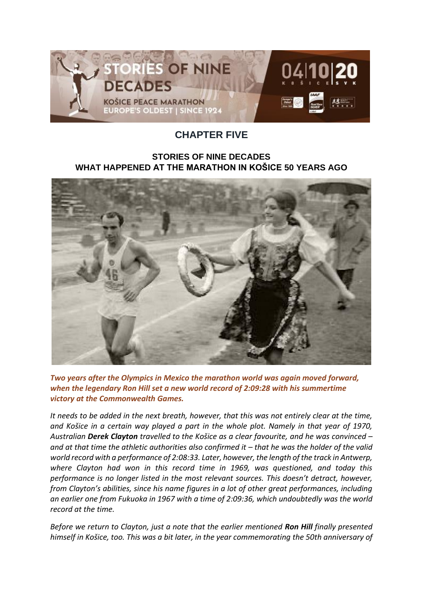

## **CHAPTER FIVE**

## **STORIES OF NINE DECADES WHAT HAPPENED AT THE MARATHON IN KOŠICE 50 YEARS AGO**



*Two years after the Olympics in Mexico the marathon world was again moved forward, when the legendary Ron Hill set a new world record of 2:09:28 with his summertime victory at the Commonwealth Games.*

*It needs to be added in the next breath, however, that this was not entirely clear at the time, and Košice in a certain way played a part in the whole plot. Namely in that year of 1970, Australian Derek Clayton travelled to the Košice as a clear favourite, and he was convinced –* and at that time the athletic authorities also confirmed it – that he was the holder of the valid *world record with a performance of 2:08:33. Later, however, the length of the track in Antwerp, where Clayton had won in this record time in 1969, was questioned, and today this performance is no longer listed in the most relevant sources. This doesn't detract, however, from Clayton's abilities, since his name figures in a lot of other great performances, including an earlier one from Fukuoka in 1967 with a time of 2:09:36, which undoubtedly was the world record at the time.*

*Before we return to Clayton, just a note that the earlier mentioned Ron Hill finally presented himself in Košice, too. This was a bit later, in the year commemorating the 50th anniversary of*